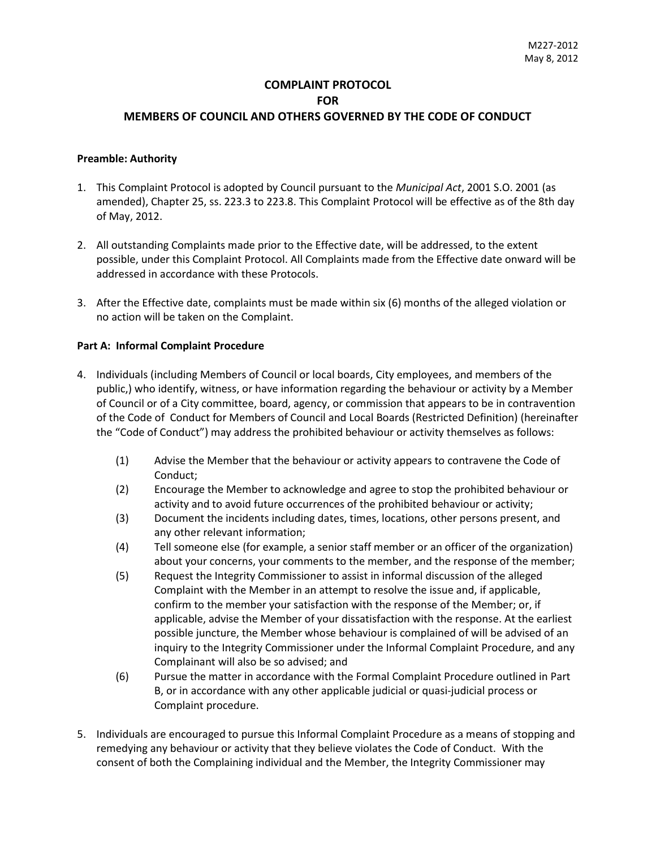## **COMPLAINT PROTOCOL FOR MEMBERS OF COUNCIL AND OTHERS GOVERNED BY THE CODE OF CONDUCT**

### **Preamble: Authority**

- 1. This Complaint Protocol is adopted by Council pursuant to the *Municipal Act*, 2001 S.O. 2001 (as amended), Chapter 25, ss. 223.3 to 223.8. This Complaint Protocol will be effective as of the 8th day of May, 2012.
- 2. All outstanding Complaints made prior to the Effective date, will be addressed, to the extent possible, under this Complaint Protocol. All Complaints made from the Effective date onward will be addressed in accordance with these Protocols.
- 3. After the Effective date, complaints must be made within six (6) months of the alleged violation or no action will be taken on the Complaint.

### **Part A: Informal Complaint Procedure**

- 4. Individuals (including Members of Council or local boards, City employees, and members of the public,) who identify, witness, or have information regarding the behaviour or activity by a Member of Council or of a City committee, board, agency, or commission that appears to be in contravention of the Code of Conduct for Members of Council and Local Boards (Restricted Definition) (hereinafter the "Code of Conduct") may address the prohibited behaviour or activity themselves as follows:
	- (1) Advise the Member that the behaviour or activity appears to contravene the Code of Conduct;
	- (2) Encourage the Member to acknowledge and agree to stop the prohibited behaviour or activity and to avoid future occurrences of the prohibited behaviour or activity;
	- (3) Document the incidents including dates, times, locations, other persons present, and any other relevant information;
	- (4) Tell someone else (for example, a senior staff member or an officer of the organization) about your concerns, your comments to the member, and the response of the member;
	- (5) Request the Integrity Commissioner to assist in informal discussion of the alleged Complaint with the Member in an attempt to resolve the issue and, if applicable, confirm to the member your satisfaction with the response of the Member; or, if applicable, advise the Member of your dissatisfaction with the response. At the earliest possible juncture, the Member whose behaviour is complained of will be advised of an inquiry to the Integrity Commissioner under the Informal Complaint Procedure, and any Complainant will also be so advised; and
	- (6) Pursue the matter in accordance with the Formal Complaint Procedure outlined in Part B, or in accordance with any other applicable judicial or quasi-judicial process or Complaint procedure.
- 5. Individuals are encouraged to pursue this Informal Complaint Procedure as a means of stopping and remedying any behaviour or activity that they believe violates the Code of Conduct. With the consent of both the Complaining individual and the Member, the Integrity Commissioner may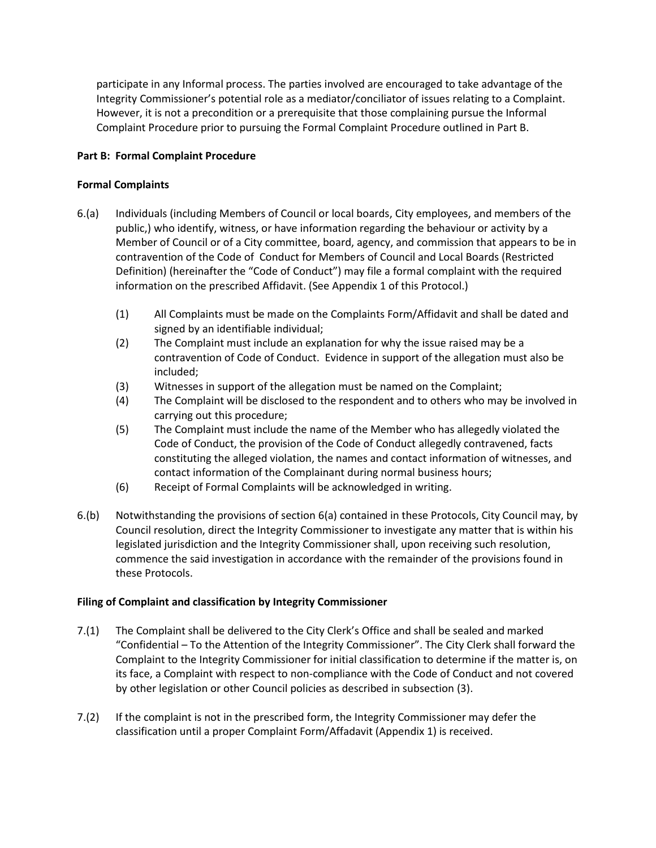participate in any Informal process. The parties involved are encouraged to take advantage of the Integrity Commissioner's potential role as a mediator/conciliator of issues relating to a Complaint. However, it is not a precondition or a prerequisite that those complaining pursue the Informal Complaint Procedure prior to pursuing the Formal Complaint Procedure outlined in Part B.

## **Part B: Formal Complaint Procedure**

### **Formal Complaints**

- 6.(a) Individuals (including Members of Council or local boards, City employees, and members of the public,) who identify, witness, or have information regarding the behaviour or activity by a Member of Council or of a City committee, board, agency, and commission that appears to be in contravention of the Code of Conduct for Members of Council and Local Boards (Restricted Definition) (hereinafter the "Code of Conduct") may file a formal complaint with the required information on the prescribed Affidavit. (See Appendix 1 of this Protocol.)
	- (1) All Complaints must be made on the Complaints Form/Affidavit and shall be dated and signed by an identifiable individual;
	- (2) The Complaint must include an explanation for why the issue raised may be a contravention of Code of Conduct. Evidence in support of the allegation must also be included;
	- (3) Witnesses in support of the allegation must be named on the Complaint;
	- (4) The Complaint will be disclosed to the respondent and to others who may be involved in carrying out this procedure;
	- (5) The Complaint must include the name of the Member who has allegedly violated the Code of Conduct, the provision of the Code of Conduct allegedly contravened, facts constituting the alleged violation, the names and contact information of witnesses, and contact information of the Complainant during normal business hours;
	- (6) Receipt of Formal Complaints will be acknowledged in writing.
- 6.(b) Notwithstanding the provisions of section 6(a) contained in these Protocols, City Council may, by Council resolution, direct the Integrity Commissioner to investigate any matter that is within his legislated jurisdiction and the Integrity Commissioner shall, upon receiving such resolution, commence the said investigation in accordance with the remainder of the provisions found in these Protocols.

### **Filing of Complaint and classification by Integrity Commissioner**

- 7.(1) The Complaint shall be delivered to the City Clerk's Office and shall be sealed and marked "Confidential – To the Attention of the Integrity Commissioner". The City Clerk shall forward the Complaint to the Integrity Commissioner for initial classification to determine if the matter is, on its face, a Complaint with respect to non-compliance with the Code of Conduct and not covered by other legislation or other Council policies as described in subsection (3).
- 7.(2) If the complaint is not in the prescribed form, the Integrity Commissioner may defer the classification until a proper Complaint Form/Affadavit (Appendix 1) is received.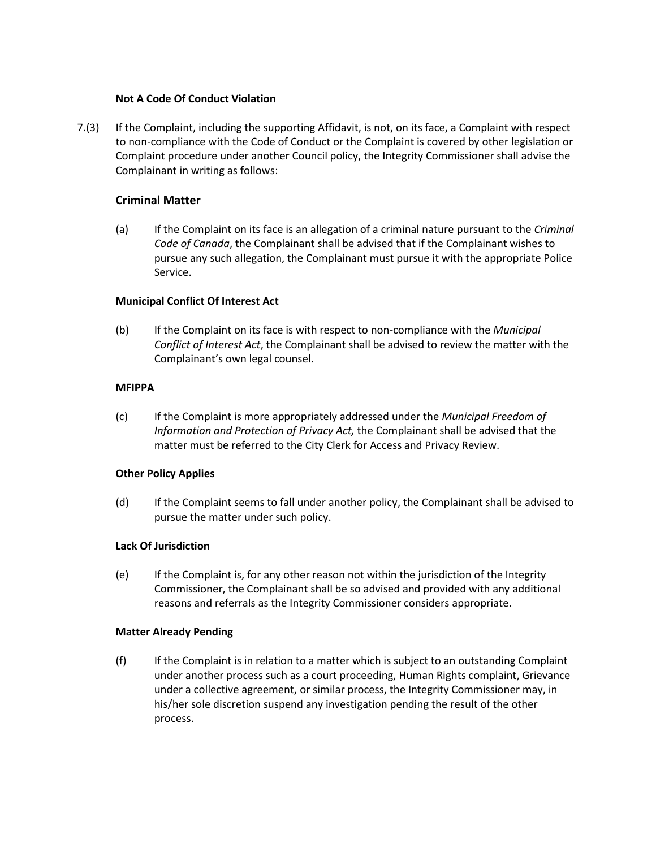### **Not A Code Of Conduct Violation**

7.(3) If the Complaint, including the supporting Affidavit, is not, on its face, a Complaint with respect to non-compliance with the Code of Conduct or the Complaint is covered by other legislation or Complaint procedure under another Council policy, the Integrity Commissioner shall advise the Complainant in writing as follows:

## **Criminal Matter**

(a) If the Complaint on its face is an allegation of a criminal nature pursuant to the *Criminal Code of Canada*, the Complainant shall be advised that if the Complainant wishes to pursue any such allegation, the Complainant must pursue it with the appropriate Police Service.

### **Municipal Conflict Of Interest Act**

(b) If the Complaint on its face is with respect to non-compliance with the *Municipal Conflict of Interest Act*, the Complainant shall be advised to review the matter with the Complainant's own legal counsel.

### **MFIPPA**

(c) If the Complaint is more appropriately addressed under the *Municipal Freedom of Information and Protection of Privacy Act,* the Complainant shall be advised that the matter must be referred to the City Clerk for Access and Privacy Review.

### **Other Policy Applies**

(d) If the Complaint seems to fall under another policy, the Complainant shall be advised to pursue the matter under such policy.

### **Lack Of Jurisdiction**

(e) If the Complaint is, for any other reason not within the jurisdiction of the Integrity Commissioner, the Complainant shall be so advised and provided with any additional reasons and referrals as the Integrity Commissioner considers appropriate.

### **Matter Already Pending**

(f) If the Complaint is in relation to a matter which is subject to an outstanding Complaint under another process such as a court proceeding, Human Rights complaint, Grievance under a collective agreement, or similar process, the Integrity Commissioner may, in his/her sole discretion suspend any investigation pending the result of the other process.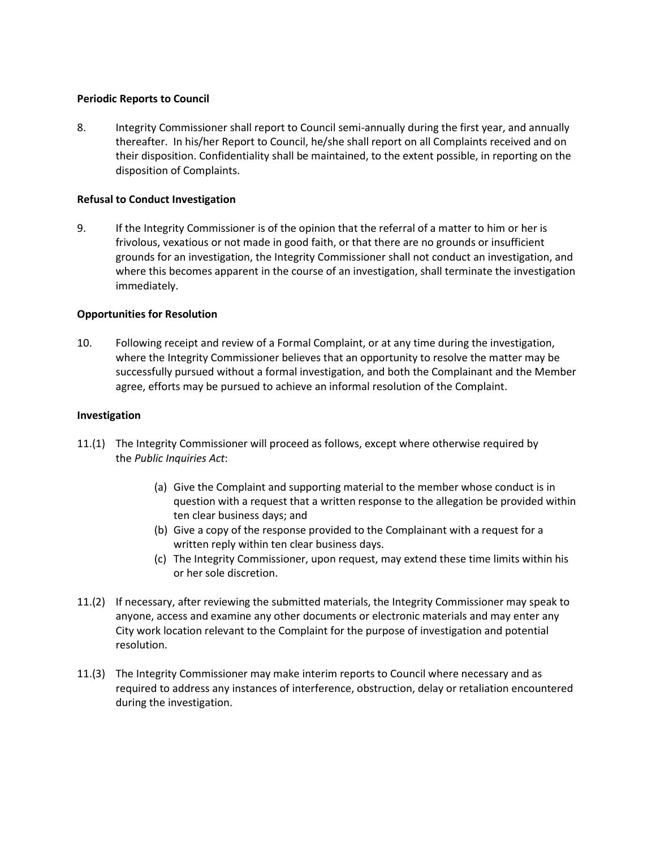#### **Periodic Reports to Council**

8. Integrity Commissioner shall report to Council semi-annually during the first year, and annually thereafter. In his/her Report to Council, he/she shall report on all Complaints received and on their disposition. Confidentiality shall be maintained, to the extent possible, in reporting on the disposition of Complaints.

#### **Refusal to Conduct Investigation**

9. If the Integrity Commissioner is of the opinion that the referral of a matter to him or her is frivolous, vexatious or not made in good faith, or that there are no grounds or insufficient grounds for an investigation, the Integrity Commissioner shall not conduct an investigation, and where this becomes apparent in the course of an investigation, shall terminate the investigation immediately.

#### **Opportunities for Resolution**

10. Following receipt and review of a Formal Complaint, or at any time during the investigation, where the Integrity Commissioner believes that an opportunity to resolve the matter may be successfully pursued without a formal investigation, and both the Complainant and the Member agree, efforts may be pursued to achieve an informal resolution of the Complaint.

#### **Investigation**

- 11.(1) The Integrity Commissioner will proceed as follows, except where otherwise required by the *Public Inquiries Act*:
	- (a) Give the Complaint and supporting material to the member whose conduct is in question with a request that a written response to the allegation be provided within ten clear business days; and
	- (b) Give a copy of the response provided to the Complainant with a request for a written reply within ten clear business days.
	- (c) The Integrity Commissioner, upon request, may extend these time limits within his or her sole discretion.
- 11.(2) If necessary, after reviewing the submitted materials, the Integrity Commissioner may speak to anyone, access and examine any other documents or electronic materials and may enter any City work location relevant to the Complaint for the purpose of investigation and potential resolution.
- 11.(3) The Integrity Commissioner may make interim reports to Council where necessary and as required to address any instances of interference, obstruction, delay or retaliation encountered during the investigation.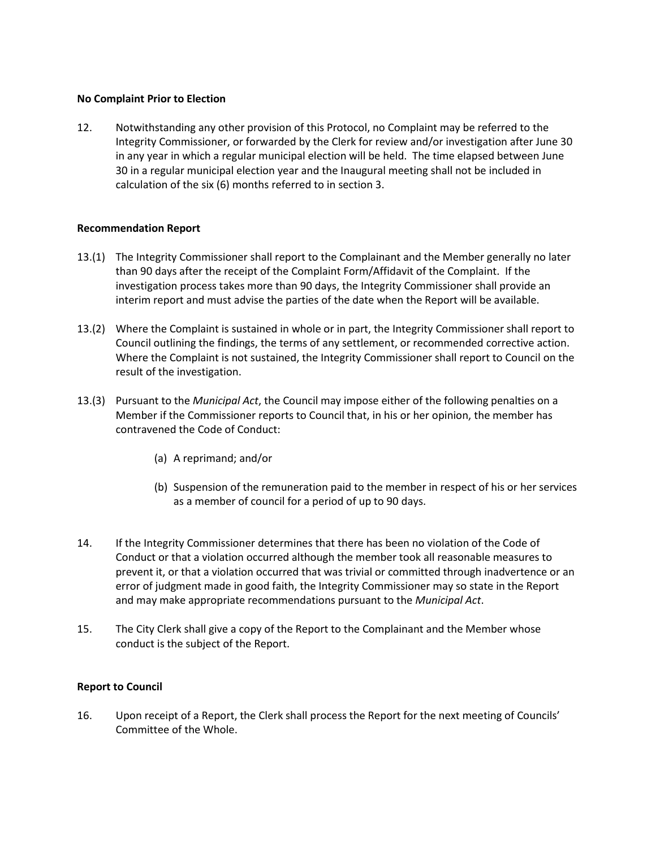### **No Complaint Prior to Election**

12. Notwithstanding any other provision of this Protocol, no Complaint may be referred to the Integrity Commissioner, or forwarded by the Clerk for review and/or investigation after June 30 in any year in which a regular municipal election will be held. The time elapsed between June 30 in a regular municipal election year and the Inaugural meeting shall not be included in calculation of the six (6) months referred to in section 3.

#### **Recommendation Report**

- 13.(1) The Integrity Commissioner shall report to the Complainant and the Member generally no later than 90 days after the receipt of the Complaint Form/Affidavit of the Complaint. If the investigation process takes more than 90 days, the Integrity Commissioner shall provide an interim report and must advise the parties of the date when the Report will be available.
- 13.(2) Where the Complaint is sustained in whole or in part, the Integrity Commissioner shall report to Council outlining the findings, the terms of any settlement, or recommended corrective action. Where the Complaint is not sustained, the Integrity Commissioner shall report to Council on the result of the investigation.
- 13.(3) Pursuant to the *Municipal Act*, the Council may impose either of the following penalties on a Member if the Commissioner reports to Council that, in his or her opinion, the member has contravened the Code of Conduct:
	- (a) A reprimand; and/or
	- (b) Suspension of the remuneration paid to the member in respect of his or her services as a member of council for a period of up to 90 days.
- 14. If the Integrity Commissioner determines that there has been no violation of the Code of Conduct or that a violation occurred although the member took all reasonable measures to prevent it, or that a violation occurred that was trivial or committed through inadvertence or an error of judgment made in good faith, the Integrity Commissioner may so state in the Report and may make appropriate recommendations pursuant to the *Municipal Act*.
- 15. The City Clerk shall give a copy of the Report to the Complainant and the Member whose conduct is the subject of the Report.

### **Report to Council**

16. Upon receipt of a Report, the Clerk shall process the Report for the next meeting of Councils' Committee of the Whole.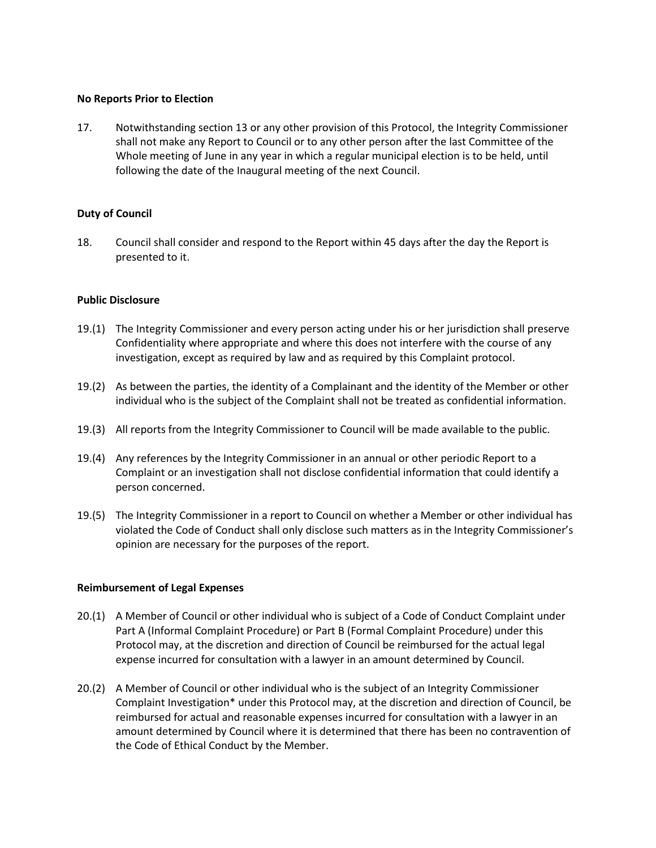#### **No Reports Prior to Election**

17. Notwithstanding section 13 or any other provision of this Protocol, the Integrity Commissioner shall not make any Report to Council or to any other person after the last Committee of the Whole meeting of June in any year in which a regular municipal election is to be held, until following the date of the Inaugural meeting of the next Council.

### **Duty of Council**

18. Council shall consider and respond to the Report within 45 days after the day the Report is presented to it.

#### **Public Disclosure**

- 19.(1) The Integrity Commissioner and every person acting under his or her jurisdiction shall preserve Confidentiality where appropriate and where this does not interfere with the course of any investigation, except as required by law and as required by this Complaint protocol.
- 19.(2) As between the parties, the identity of a Complainant and the identity of the Member or other individual who is the subject of the Complaint shall not be treated as confidential information.
- 19.(3) All reports from the Integrity Commissioner to Council will be made available to the public.
- 19.(4) Any references by the Integrity Commissioner in an annual or other periodic Report to a Complaint or an investigation shall not disclose confidential information that could identify a person concerned.
- 19.(5) The Integrity Commissioner in a report to Council on whether a Member or other individual has violated the Code of Conduct shall only disclose such matters as in the Integrity Commissioner's opinion are necessary for the purposes of the report.

### **Reimbursement of Legal Expenses**

- 20.(1) A Member of Council or other individual who is subject of a Code of Conduct Complaint under Part A (Informal Complaint Procedure) or Part B (Formal Complaint Procedure) under this Protocol may, at the discretion and direction of Council be reimbursed for the actual legal expense incurred for consultation with a lawyer in an amount determined by Council.
- 20.(2) A Member of Council or other individual who is the subject of an Integrity Commissioner Complaint Investigation\* under this Protocol may, at the discretion and direction of Council, be reimbursed for actual and reasonable expenses incurred for consultation with a lawyer in an amount determined by Council where it is determined that there has been no contravention of the Code of Ethical Conduct by the Member.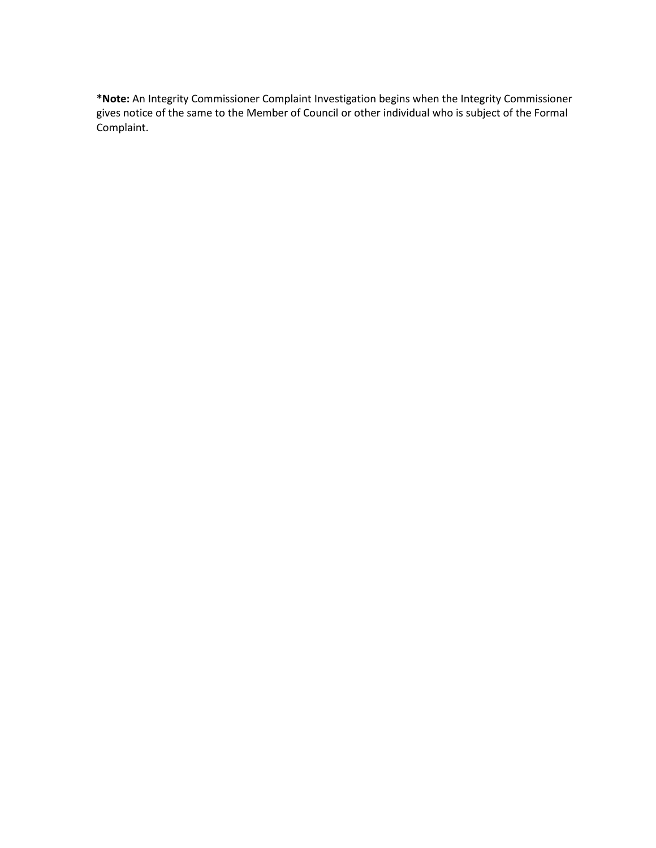**\*Note:** An Integrity Commissioner Complaint Investigation begins when the Integrity Commissioner gives notice of the same to the Member of Council or other individual who is subject of the Formal Complaint.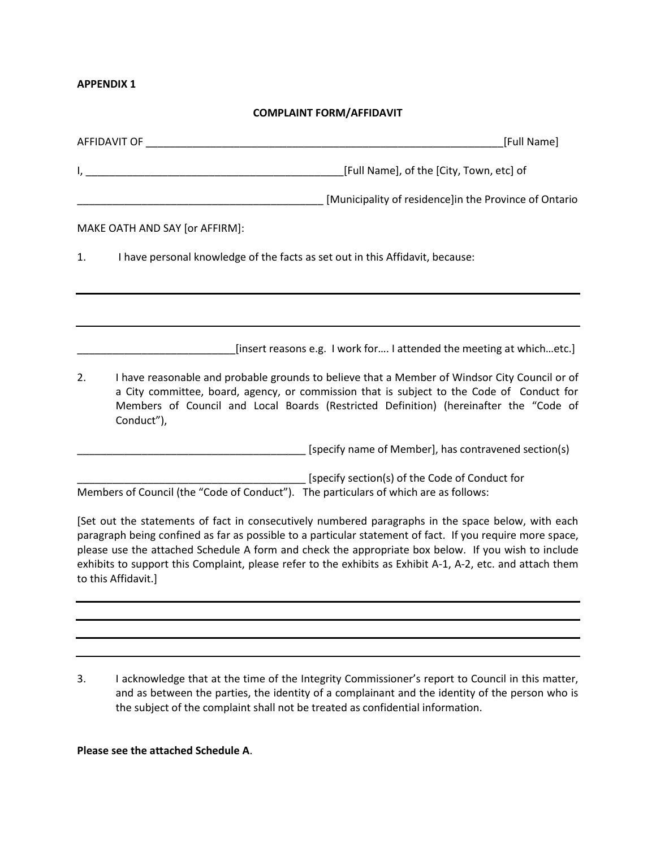#### **APPENDIX 1**

## **COMPLAINT FORM/AFFIDAVIT**

|    | [Full Name]<br>AFFIDAVIT OF A SERVICE AND A SERVICE AND A SERVICE AND A SERVICE AND A SERVICE AND A SERVICE AND A SERVICE AND                                                                                                                                                                                                                                                                                                                               |
|----|-------------------------------------------------------------------------------------------------------------------------------------------------------------------------------------------------------------------------------------------------------------------------------------------------------------------------------------------------------------------------------------------------------------------------------------------------------------|
|    | [Full Name], of the [City, Town, etc] of                                                                                                                                                                                                                                                                                                                                                                                                                    |
|    | [Municipality of residence]in the Province of Ontario                                                                                                                                                                                                                                                                                                                                                                                                       |
|    | MAKE OATH AND SAY [or AFFIRM]:                                                                                                                                                                                                                                                                                                                                                                                                                              |
| 1. | I have personal knowledge of the facts as set out in this Affidavit, because:                                                                                                                                                                                                                                                                                                                                                                               |
|    |                                                                                                                                                                                                                                                                                                                                                                                                                                                             |
|    |                                                                                                                                                                                                                                                                                                                                                                                                                                                             |
|    | [insert reasons e.g. I work for I attended the meeting at whichetc.]                                                                                                                                                                                                                                                                                                                                                                                        |
| 2. | I have reasonable and probable grounds to believe that a Member of Windsor City Council or of<br>a City committee, board, agency, or commission that is subject to the Code of Conduct for<br>Members of Council and Local Boards (Restricted Definition) (hereinafter the "Code of<br>Conduct"),                                                                                                                                                           |
|    | [specify name of Member], has contravened section(s)                                                                                                                                                                                                                                                                                                                                                                                                        |
|    | [specify section(s) of the Code of Conduct for<br>Members of Council (the "Code of Conduct"). The particulars of which are as follows:                                                                                                                                                                                                                                                                                                                      |
|    | [Set out the statements of fact in consecutively numbered paragraphs in the space below, with each<br>paragraph being confined as far as possible to a particular statement of fact. If you require more space,<br>please use the attached Schedule A form and check the appropriate box below. If you wish to include<br>exhibits to support this Complaint, please refer to the exhibits as Exhibit A-1, A-2, etc. and attach them<br>to this Affidavit.] |
|    |                                                                                                                                                                                                                                                                                                                                                                                                                                                             |

3. I acknowledge that at the time of the Integrity Commissioner's report to Council in this matter, and as between the parties, the identity of a complainant and the identity of the person who is the subject of the complaint shall not be treated as confidential information.

# **Please see the attached Schedule A**.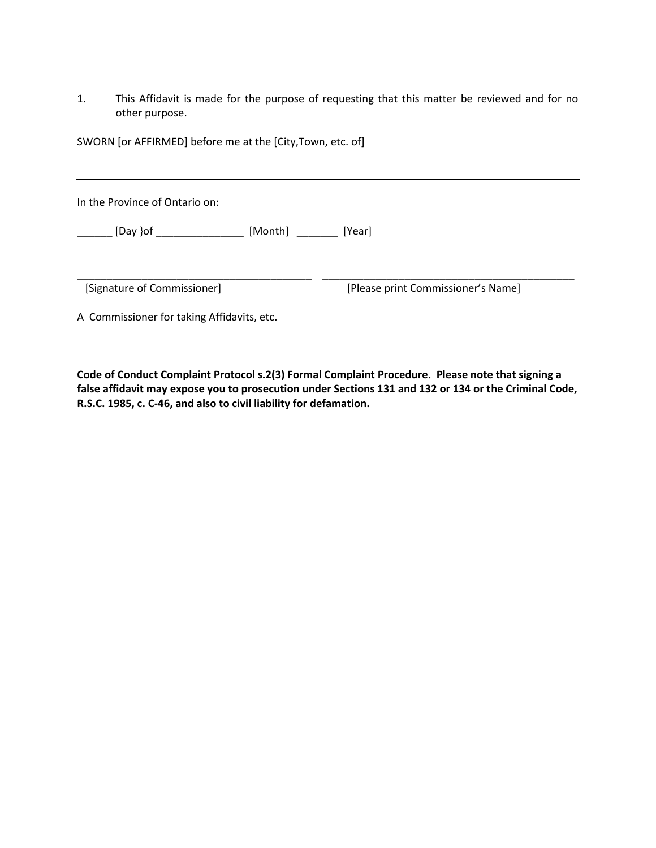1. This Affidavit is made for the purpose of requesting that this matter be reviewed and for no other purpose.

SWORN [or AFFIRMED] before me at the [City,Town, etc. of]

In the Province of Ontario on:

\_\_\_\_\_\_ [Day }of \_\_\_\_\_\_\_\_\_\_\_\_\_\_\_ [Month] \_\_\_\_\_\_\_ [Year]

[Signature of Commissioner] \*Please print Commissioner's Name+

A Commissioner for taking Affidavits, etc.

**Code of Conduct Complaint Protocol s.2(3) Formal Complaint Procedure. Please note that signing a false affidavit may expose you to prosecution under Sections 131 and 132 or 134 or the Criminal Code, R.S.C. 1985, c. C-46, and also to civil liability for defamation.**

\_\_\_\_\_\_\_\_\_\_\_\_\_\_\_\_\_\_\_\_\_\_\_\_\_\_\_\_\_\_\_\_\_\_\_\_\_\_\_\_ \_\_\_\_\_\_\_\_\_\_\_\_\_\_\_\_\_\_\_\_\_\_\_\_\_\_\_\_\_\_\_\_\_\_\_\_\_\_\_\_\_\_\_